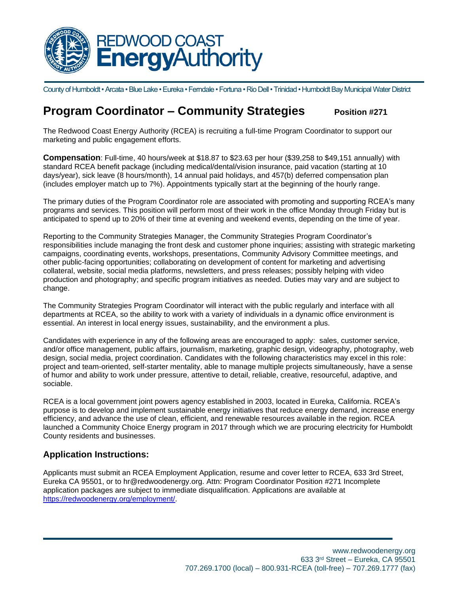

County of Humboldt • Arcata • Blue Lake • Eureka • Ferndale • Fortuna • Rio Dell • Trinidad • Humboldt Bay Municipal Water District

## **Program Coordinator – Community Strategies** Position #271

The Redwood Coast Energy Authority (RCEA) is recruiting a full-time Program Coordinator to support our marketing and public engagement efforts.

**Compensation**: Full-time, 40 hours/week at \$18.87 to \$23.63 per hour (\$39,258 to \$49,151 annually) with standard RCEA benefit package (including medical/dental/vision insurance, paid vacation (starting at 10 days/year), sick leave (8 hours/month), 14 annual paid holidays, and 457(b) deferred compensation plan (includes employer match up to 7%). Appointments typically start at the beginning of the hourly range.

The primary duties of the Program Coordinator role are associated with promoting and supporting RCEA's many programs and services. This position will perform most of their work in the office Monday through Friday but is anticipated to spend up to 20% of their time at evening and weekend events, depending on the time of year.

Reporting to the Community Strategies Manager, the Community Strategies Program Coordinator's responsibilities include managing the front desk and customer phone inquiries; assisting with strategic marketing campaigns, coordinating events, workshops, presentations, Community Advisory Committee meetings, and other public-facing opportunities; collaborating on development of content for marketing and advertising collateral, website, social media platforms, newsletters, and press releases; possibly helping with video production and photography; and specific program initiatives as needed. Duties may vary and are subject to change.

The Community Strategies Program Coordinator will interact with the public regularly and interface with all departments at RCEA, so the ability to work with a variety of individuals in a dynamic office environment is essential. An interest in local energy issues, sustainability, and the environment a plus.

Candidates with experience in any of the following areas are encouraged to apply: sales, customer service, and/or office management, public affairs, journalism, marketing, graphic design, videography, photography, web design, social media, project coordination. Candidates with the following characteristics may excel in this role: project and team-oriented, self-starter mentality, able to manage multiple projects simultaneously, have a sense of humor and ability to work under pressure, attentive to detail, reliable, creative, resourceful, adaptive, and sociable.

RCEA is a local government joint powers agency established in 2003, located in Eureka, California. RCEA's purpose is to develop and implement sustainable energy initiatives that reduce energy demand, increase energy efficiency, and advance the use of clean, efficient, and renewable resources available in the region. RCEA launched a Community Choice Energy program in 2017 through which we are procuring electricity for Humboldt County residents and businesses.

## **Application Instructions:**

Applicants must submit an RCEA Employment Application, resume and cover letter to RCEA, 633 3rd Street, Eureka CA 95501, or to hr@redwoodenergy.org. Attn: Program Coordinator Position #271 Incomplete application packages are subject to immediate disqualification. Applications are available at [https://redwoodenergy.org/employment/.](https://redwoodenergy.org/employment/)